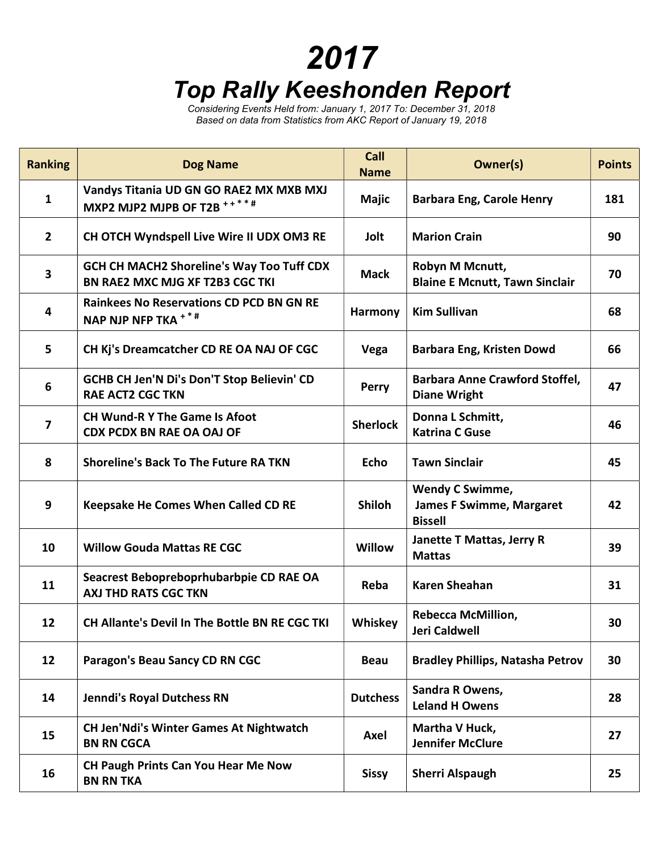## 2017

## Top Rally Keeshonden Report

Considering Events Held from: January 1, 2017 To: December 31, 2018 Based on data from Statistics from AKC Report of January 19, 2018

| <b>Ranking</b>          | <b>Dog Name</b>                                                                     | Call<br><b>Name</b> | <b>Owner(s)</b>                                                             | <b>Points</b> |
|-------------------------|-------------------------------------------------------------------------------------|---------------------|-----------------------------------------------------------------------------|---------------|
| $\mathbf{1}$            | Vandys Titania UD GN GO RAE2 MX MXB MXJ<br>MXP2 MJP2 MJPB OF T2B ****#              | <b>Majic</b>        | <b>Barbara Eng, Carole Henry</b>                                            | 181           |
| $\overline{2}$          | CH OTCH Wyndspell Live Wire II UDX OM3 RE                                           | Jolt                | <b>Marion Crain</b>                                                         | 90            |
| $\overline{\mathbf{3}}$ | <b>GCH CH MACH2 Shoreline's Way Too Tuff CDX</b><br>BN RAE2 MXC MJG XF T2B3 CGC TKI | <b>Mack</b>         | Robyn M Mcnutt,<br><b>Blaine E Mcnutt, Tawn Sinclair</b>                    | 70            |
| 4                       | <b>Rainkees No Reservations CD PCD BN GN RE</b><br>NAP NJP NFP TKA <sup>+*#</sup>   | <b>Harmony</b>      | <b>Kim Sullivan</b>                                                         | 68            |
| 5                       | CH Kj's Dreamcatcher CD RE OA NAJ OF CGC                                            | Vega                | <b>Barbara Eng, Kristen Dowd</b>                                            | 66            |
| 6                       | GCHB CH Jen'N Di's Don'T Stop Believin' CD<br><b>RAE ACT2 CGC TKN</b>               | <b>Perry</b>        | <b>Barbara Anne Crawford Stoffel,</b><br><b>Diane Wright</b>                | 47            |
| $\overline{\mathbf{z}}$ | <b>CH Wund-R Y The Game Is Afoot</b><br><b>CDX PCDX BN RAE OA OAJ OF</b>            | <b>Sherlock</b>     | Donna L Schmitt,<br><b>Katrina C Guse</b>                                   | 46            |
| 8                       | <b>Shoreline's Back To The Future RA TKN</b>                                        | <b>Echo</b>         | <b>Tawn Sinclair</b>                                                        | 45            |
| 9                       | Keepsake He Comes When Called CD RE                                                 | <b>Shiloh</b>       | <b>Wendy C Swimme,</b><br><b>James F Swimme, Margaret</b><br><b>Bissell</b> | 42            |
| 10                      | <b>Willow Gouda Mattas RE CGC</b>                                                   | <b>Willow</b>       | Janette T Mattas, Jerry R<br><b>Mattas</b>                                  | 39            |
| 11                      | Seacrest Bebopreboprhubarbpie CD RAE OA<br><b>AXJ THD RATS CGC TKN</b>              | Reba                | <b>Karen Sheahan</b>                                                        | 31            |
| 12                      | <b>CH Allante's Devil In The Bottle BN RE CGC TKI</b>                               | Whiskey             | <b>Rebecca McMillion,</b><br>Jeri Caldwell                                  | 30            |
| 12                      | Paragon's Beau Sancy CD RN CGC                                                      | <b>Beau</b>         | <b>Bradley Phillips, Natasha Petrov</b>                                     | 30            |
| 14                      | Jenndi's Royal Dutchess RN                                                          | <b>Dutchess</b>     | Sandra R Owens,<br><b>Leland H Owens</b>                                    | 28            |
| 15                      | <b>CH Jen'Ndi's Winter Games At Nightwatch</b><br><b>BN RN CGCA</b>                 | Axel                | Martha V Huck,<br><b>Jennifer McClure</b>                                   | 27            |
| 16                      | <b>CH Paugh Prints Can You Hear Me Now</b><br><b>BN RN TKA</b>                      | <b>Sissy</b>        | <b>Sherri Alspaugh</b>                                                      | 25            |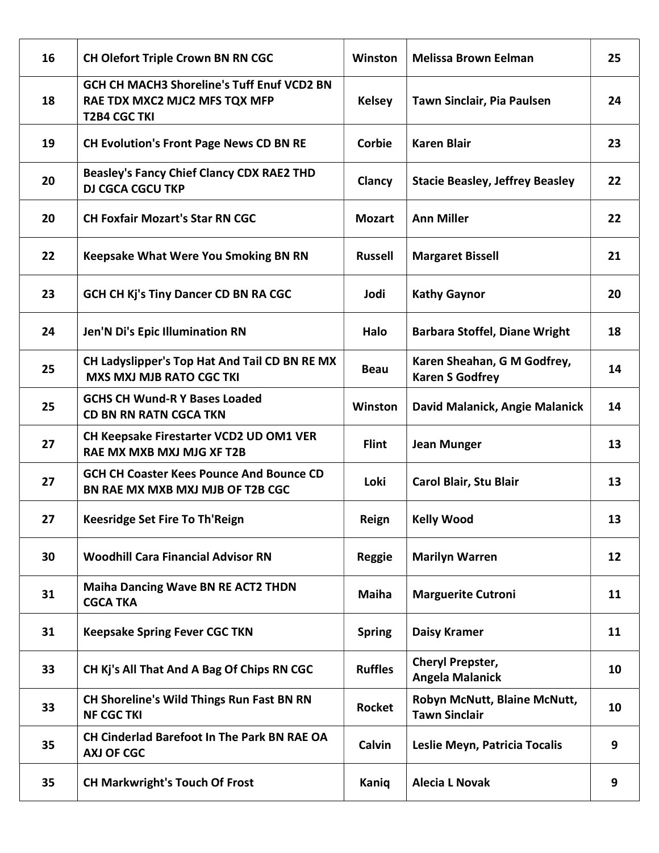| 16 | <b>CH Olefort Triple Crown BN RN CGC</b>                                                                  | Winston        | <b>Melissa Brown Eelman</b>                           | 25 |
|----|-----------------------------------------------------------------------------------------------------------|----------------|-------------------------------------------------------|----|
| 18 | <b>GCH CH MACH3 Shoreline's Tuff Enuf VCD2 BN</b><br>RAE TDX MXC2 MJC2 MFS TQX MFP<br><b>T2B4 CGC TKI</b> | <b>Kelsey</b>  | Tawn Sinclair, Pia Paulsen                            | 24 |
| 19 | <b>CH Evolution's Front Page News CD BN RE</b>                                                            | Corbie         | <b>Karen Blair</b>                                    | 23 |
| 20 | <b>Beasley's Fancy Chief Clancy CDX RAE2 THD</b><br><b>DJ CGCA CGCU TKP</b>                               | Clancy         | <b>Stacie Beasley, Jeffrey Beasley</b>                | 22 |
| 20 | <b>CH Foxfair Mozart's Star RN CGC</b>                                                                    | <b>Mozart</b>  | <b>Ann Miller</b>                                     | 22 |
| 22 | <b>Keepsake What Were You Smoking BN RN</b>                                                               | <b>Russell</b> | <b>Margaret Bissell</b>                               | 21 |
| 23 | <b>GCH CH Kj's Tiny Dancer CD BN RA CGC</b>                                                               | Jodi           | <b>Kathy Gaynor</b>                                   | 20 |
| 24 | <b>Jen'N Di's Epic Illumination RN</b>                                                                    | Halo           | <b>Barbara Stoffel, Diane Wright</b>                  | 18 |
| 25 | CH Ladyslipper's Top Hat And Tail CD BN RE MX<br><b>MXS MXJ MJB RATO CGC TKI</b>                          | <b>Beau</b>    | Karen Sheahan, G M Godfrey,<br><b>Karen S Godfrey</b> | 14 |
| 25 | <b>GCHS CH Wund-R Y Bases Loaded</b><br><b>CD BN RN RATN CGCA TKN</b>                                     | Winston        | David Malanick, Angie Malanick                        | 14 |
| 27 | CH Keepsake Firestarter VCD2 UD OM1 VER<br>RAE MX MXB MXJ MJG XF T2B                                      | <b>Flint</b>   | <b>Jean Munger</b>                                    | 13 |
| 27 | <b>GCH CH Coaster Kees Pounce And Bounce CD</b><br>BN RAE MX MXB MXJ MJB OF T2B CGC                       | Loki           | Carol Blair, Stu Blair                                | 13 |
| 27 | <b>Keesridge Set Fire To Th'Reign</b>                                                                     | Reign          | <b>Kelly Wood</b>                                     | 13 |
| 30 | <b>Woodhill Cara Financial Advisor RN</b>                                                                 | <b>Reggie</b>  | <b>Marilyn Warren</b>                                 | 12 |
| 31 | <b>Maiha Dancing Wave BN RE ACT2 THDN</b><br><b>CGCA TKA</b>                                              | <b>Maiha</b>   | <b>Marguerite Cutroni</b>                             | 11 |
| 31 | <b>Keepsake Spring Fever CGC TKN</b>                                                                      | <b>Spring</b>  | <b>Daisy Kramer</b>                                   | 11 |
| 33 | CH Kj's All That And A Bag Of Chips RN CGC                                                                | <b>Ruffles</b> | Cheryl Prepster,<br><b>Angela Malanick</b>            | 10 |
| 33 | <b>CH Shoreline's Wild Things Run Fast BN RN</b><br><b>NF CGC TKI</b>                                     | <b>Rocket</b>  | Robyn McNutt, Blaine McNutt,<br><b>Tawn Sinclair</b>  | 10 |
| 35 | CH Cinderlad Barefoot In The Park BN RAE OA<br><b>AXJ OF CGC</b>                                          | Calvin         | Leslie Meyn, Patricia Tocalis                         | 9  |
| 35 | <b>CH Markwright's Touch Of Frost</b>                                                                     | Kaniq          | <b>Alecia L Novak</b>                                 | 9  |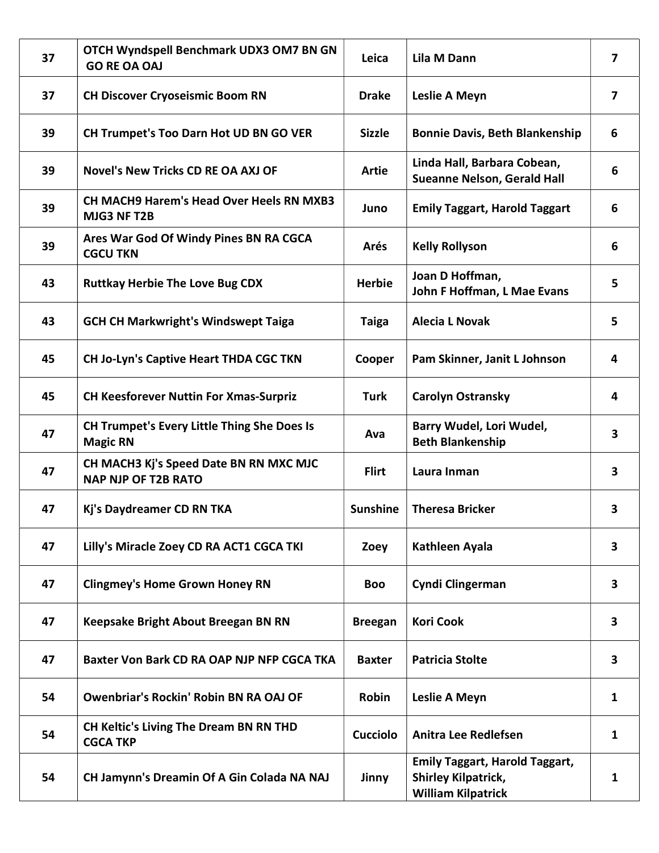| 37 | OTCH Wyndspell Benchmark UDX3 OM7 BN GN<br><b>GO RE OA OAJ</b>        | Leica           | <b>Lila M Dann</b>                                                                               | $\overline{\mathbf{z}}$ |
|----|-----------------------------------------------------------------------|-----------------|--------------------------------------------------------------------------------------------------|-------------------------|
| 37 | <b>CH Discover Cryoseismic Boom RN</b>                                | <b>Drake</b>    | Leslie A Meyn                                                                                    | $\overline{7}$          |
| 39 | CH Trumpet's Too Darn Hot UD BN GO VER                                | <b>Sizzle</b>   | <b>Bonnie Davis, Beth Blankenship</b>                                                            | 6                       |
| 39 | <b>Novel's New Tricks CD RE OA AXJ OF</b>                             | <b>Artie</b>    | Linda Hall, Barbara Cobean,<br><b>Sueanne Nelson, Gerald Hall</b>                                | 6                       |
| 39 | <b>CH MACH9 Harem's Head Over Heels RN MXB3</b><br>MJG3 NF T2B        | Juno            | <b>Emily Taggart, Harold Taggart</b>                                                             | 6                       |
| 39 | Ares War God Of Windy Pines BN RA CGCA<br><b>CGCU TKN</b>             | Arés            | <b>Kelly Rollyson</b>                                                                            | 6                       |
| 43 | <b>Ruttkay Herbie The Love Bug CDX</b>                                | <b>Herbie</b>   | Joan D Hoffman,<br>John F Hoffman, L Mae Evans                                                   | 5                       |
| 43 | <b>GCH CH Markwright's Windswept Taiga</b>                            | <b>Taiga</b>    | <b>Alecia L Novak</b>                                                                            | 5                       |
| 45 | <b>CH Jo-Lyn's Captive Heart THDA CGC TKN</b>                         | Cooper          | Pam Skinner, Janit L Johnson                                                                     | 4                       |
| 45 | <b>CH Keesforever Nuttin For Xmas-Surpriz</b>                         | <b>Turk</b>     | <b>Carolyn Ostransky</b>                                                                         | 4                       |
| 47 | <b>CH Trumpet's Every Little Thing She Does Is</b><br><b>Magic RN</b> | Ava             | Barry Wudel, Lori Wudel,<br><b>Beth Blankenship</b>                                              | $\overline{\mathbf{3}}$ |
| 47 | CH MACH3 Kj's Speed Date BN RN MXC MJC<br><b>NAP NJP OF T2B RATO</b>  | <b>Flirt</b>    | Laura Inman                                                                                      | $\overline{\mathbf{3}}$ |
| 47 | Kj's Daydreamer CD RN TKA                                             | <b>Sunshine</b> | <b>Theresa Bricker</b>                                                                           | 3                       |
| 47 | Lilly's Miracle Zoey CD RA ACT1 CGCA TKI                              | Zoey            | Kathleen Ayala                                                                                   | $\mathbf{3}$            |
| 47 | <b>Clingmey's Home Grown Honey RN</b>                                 | <b>Boo</b>      | Cyndi Clingerman                                                                                 | 3                       |
| 47 | Keepsake Bright About Breegan BN RN                                   | <b>Breegan</b>  | <b>Kori Cook</b>                                                                                 | 3                       |
| 47 | Baxter Von Bark CD RA OAP NJP NFP CGCA TKA                            | <b>Baxter</b>   | <b>Patricia Stolte</b>                                                                           | $\mathbf{3}$            |
| 54 | <b>Owenbriar's Rockin' Robin BN RA OAJ OF</b>                         | Robin           | Leslie A Meyn                                                                                    | 1                       |
| 54 | <b>CH Keltic's Living The Dream BN RN THD</b><br><b>CGCA TKP</b>      | <b>Cucciolo</b> | <b>Anitra Lee Redlefsen</b>                                                                      | 1                       |
| 54 | CH Jamynn's Dreamin Of A Gin Colada NA NAJ                            | Jinny           | <b>Emily Taggart, Harold Taggart,</b><br><b>Shirley Kilpatrick,</b><br><b>William Kilpatrick</b> | 1                       |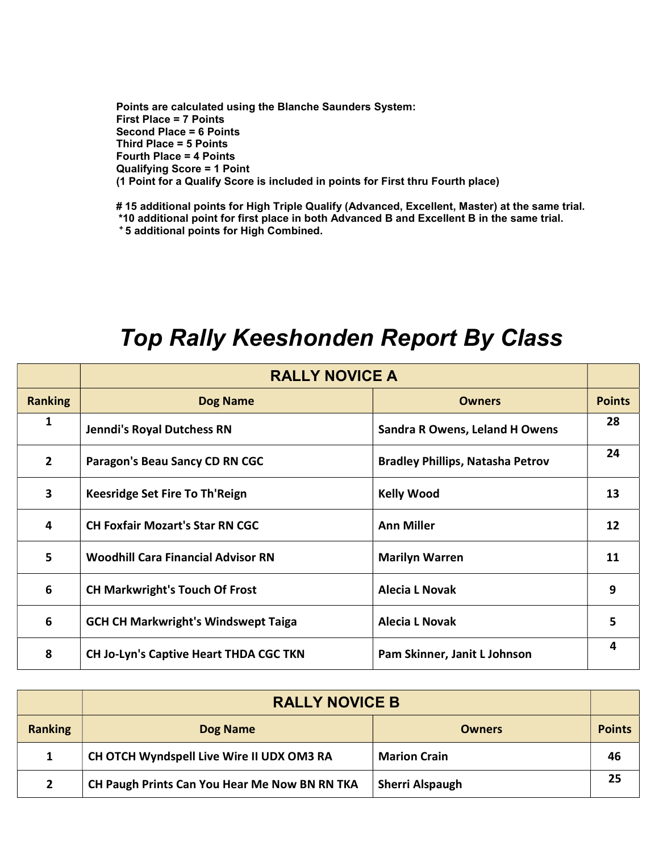Points are calculated using the Blanche Saunders System: First Place = 7 Points Second Place = 6 Points Third Place = 5 Points Fourth Place = 4 Points Qualifying Score = 1 Point (1 Point for a Qualify Score is included in points for First thru Fourth place)

# 15 additional points for High Triple Qualify (Advanced, Excellent, Master) at the same trial. \*10 additional point for first place in both Advanced B and Excellent B in the same trial. <sup>+</sup>5 additional points for High Combined.

## Top Rally Keeshonden Report By Class RALLY NOVICE A

|                | <b>RALLY NOVICE A</b>                         |                                         |               |
|----------------|-----------------------------------------------|-----------------------------------------|---------------|
| <b>Ranking</b> | <b>Dog Name</b>                               | <b>Owners</b>                           | <b>Points</b> |
| 1              | <b>Jenndi's Royal Dutchess RN</b>             | <b>Sandra R Owens, Leland H Owens</b>   | 28            |
| $\overline{2}$ | Paragon's Beau Sancy CD RN CGC                | <b>Bradley Phillips, Natasha Petrov</b> | 24            |
| 3              | Keesridge Set Fire To Th'Reign                | <b>Kelly Wood</b>                       | 13            |
| 4              | <b>CH Foxfair Mozart's Star RN CGC</b>        | <b>Ann Miller</b>                       | 12            |
| 5              | <b>Woodhill Cara Financial Advisor RN</b>     | <b>Marilyn Warren</b>                   | 11            |
| 6              | <b>CH Markwright's Touch Of Frost</b>         | <b>Alecia L Novak</b>                   | 9             |
| 6              | <b>GCH CH Markwright's Windswept Taiga</b>    | <b>Alecia L Novak</b>                   | 5             |
| 8              | <b>CH Jo-Lyn's Captive Heart THDA CGC TKN</b> | Pam Skinner, Janit L Johnson            | 4             |

|                | <b>RALLY NOVICE B</b>                         |                        |               |
|----------------|-----------------------------------------------|------------------------|---------------|
| <b>Ranking</b> | Dog Name                                      | <b>Owners</b>          | <b>Points</b> |
|                | CH OTCH Wyndspell Live Wire II UDX OM3 RA     | <b>Marion Crain</b>    | 46            |
|                | CH Paugh Prints Can You Hear Me Now BN RN TKA | <b>Sherri Alspaugh</b> | 25            |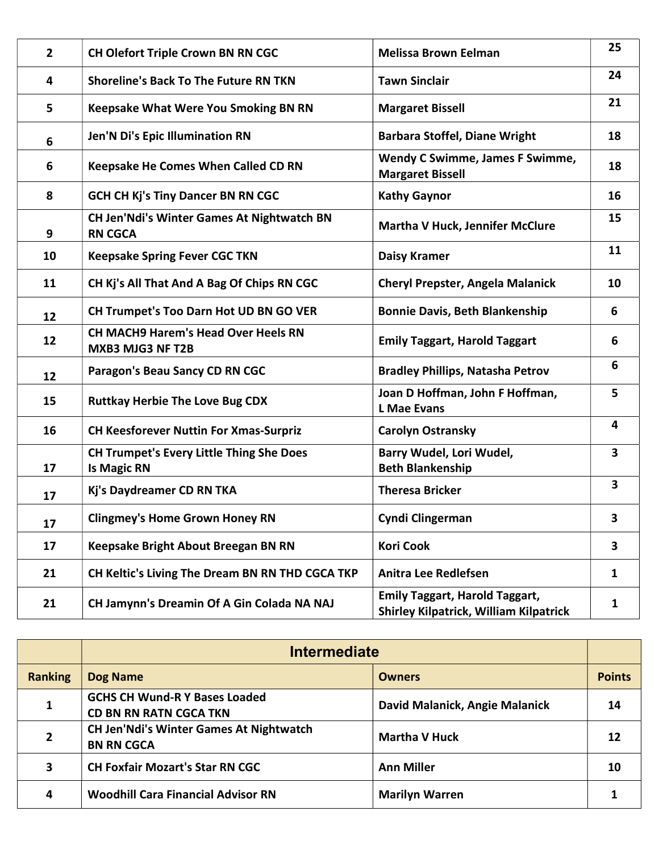| $\overline{2}$ | <b>CH Olefort Triple Crown BN RN CGC</b>                              | <b>Melissa Brown Eelman</b>                                                            | 25                      |
|----------------|-----------------------------------------------------------------------|----------------------------------------------------------------------------------------|-------------------------|
| 4              | <b>Shoreline's Back To The Future RN TKN</b>                          | <b>Tawn Sinclair</b>                                                                   | 24                      |
| 5              | <b>Keepsake What Were You Smoking BN RN</b>                           | <b>Margaret Bissell</b>                                                                | 21                      |
| 6              | Jen'N Di's Epic Illumination RN                                       | <b>Barbara Stoffel, Diane Wright</b>                                                   | 18                      |
| 6              | <b>Keepsake He Comes When Called CD RN</b>                            | <b>Wendy C Swimme, James F Swimme,</b><br><b>Margaret Bissell</b>                      | 18                      |
| 8              | <b>GCH CH Kj's Tiny Dancer BN RN CGC</b>                              | <b>Kathy Gaynor</b>                                                                    | 16                      |
| 9              | CH Jen'Ndi's Winter Games At Nightwatch BN<br><b>RN CGCA</b>          | <b>Martha V Huck, Jennifer McClure</b>                                                 | 15                      |
| 10             | <b>Keepsake Spring Fever CGC TKN</b>                                  | <b>Daisy Kramer</b>                                                                    | 11                      |
| 11             | CH Kj's All That And A Bag Of Chips RN CGC                            | <b>Cheryl Prepster, Angela Malanick</b>                                                | 10                      |
| 12             | CH Trumpet's Too Darn Hot UD BN GO VER                                | <b>Bonnie Davis, Beth Blankenship</b>                                                  | 6                       |
| 12             | <b>CH MACH9 Harem's Head Over Heels RN</b><br><b>MXB3 MJG3 NF T2B</b> | <b>Emily Taggart, Harold Taggart</b>                                                   | 6                       |
| 12             | Paragon's Beau Sancy CD RN CGC                                        | <b>Bradley Phillips, Natasha Petrov</b>                                                | 6                       |
| 15             | <b>Ruttkay Herbie The Love Bug CDX</b>                                | Joan D Hoffman, John F Hoffman,<br><b>L</b> Mae Evans                                  | 5                       |
| 16             | <b>CH Keesforever Nuttin For Xmas-Surpriz</b>                         | <b>Carolyn Ostransky</b>                                                               | $\overline{\mathbf{4}}$ |
| 17             | <b>CH Trumpet's Every Little Thing She Does</b><br><b>Is Magic RN</b> | Barry Wudel, Lori Wudel,<br><b>Beth Blankenship</b>                                    | $\overline{\mathbf{3}}$ |
| 17             | Kj's Daydreamer CD RN TKA                                             | <b>Theresa Bricker</b>                                                                 | $\overline{\mathbf{3}}$ |
| 17             | <b>Clingmey's Home Grown Honey RN</b>                                 | <b>Cyndi Clingerman</b>                                                                | 3                       |
| 17             | Keepsake Bright About Breegan BN RN                                   | <b>Kori Cook</b>                                                                       | 3                       |
| 21             | CH Keltic's Living The Dream BN RN THD CGCA TKP                       | <b>Anitra Lee Redlefsen</b>                                                            | $\mathbf{1}$            |
| 21             | CH Jamynn's Dreamin Of A Gin Colada NA NAJ                            | <b>Emily Taggart, Harold Taggart,</b><br><b>Shirley Kilpatrick, William Kilpatrick</b> | $\mathbf{1}$            |

|                | <b>Intermediate</b>                                                   |                                |               |
|----------------|-----------------------------------------------------------------------|--------------------------------|---------------|
| <b>Ranking</b> | <b>Dog Name</b>                                                       | <b>Owners</b>                  | <b>Points</b> |
| 1              | <b>GCHS CH Wund-R Y Bases Loaded</b><br><b>CD BN RN RATN CGCA TKN</b> | David Malanick, Angie Malanick | 14            |
| $\mathbf{2}$   | <b>CH Jen'Ndi's Winter Games At Nightwatch</b><br><b>BN RN CGCA</b>   | <b>Martha V Huck</b>           | 12            |
| 3              | <b>CH Foxfair Mozart's Star RN CGC</b>                                | <b>Ann Miller</b>              | 10            |
| 4              | <b>Woodhill Cara Financial Advisor RN</b>                             | <b>Marilyn Warren</b>          |               |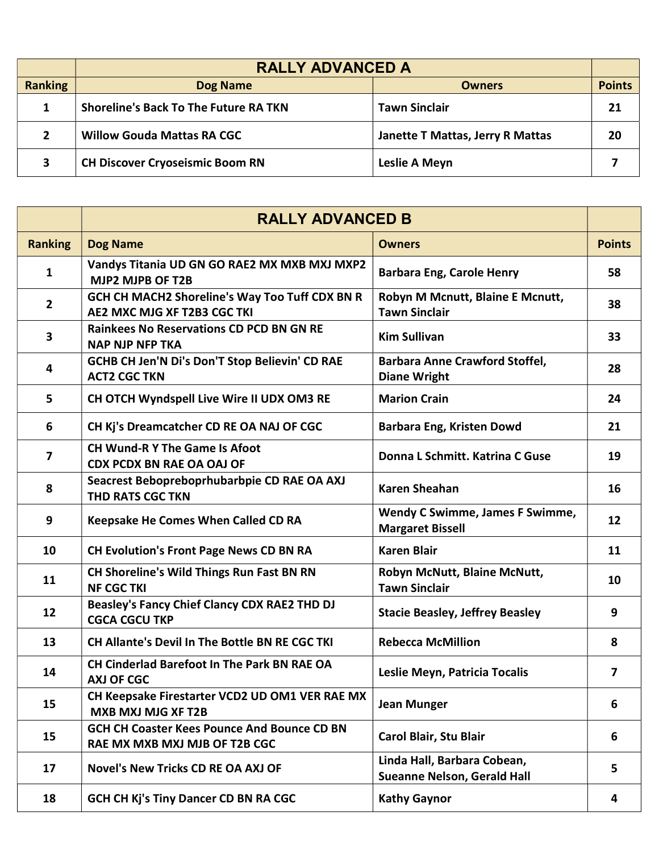|                | <b>RALLY ADVANCED A</b>                      |                                  |               |
|----------------|----------------------------------------------|----------------------------------|---------------|
| <b>Ranking</b> | <b>Dog Name</b>                              | <b>Owners</b>                    | <b>Points</b> |
|                | <b>Shoreline's Back To The Future RA TKN</b> | <b>Tawn Sinclair</b>             | 21            |
|                | <b>Willow Gouda Mattas RA CGC</b>            | Janette T Mattas, Jerry R Mattas | 20            |
| 3              | <b>CH Discover Cryoseismic Boom RN</b>       | Leslie A Meyn                    |               |

|                | <b>RALLY ADVANCED B</b>                                                             |                                                                   |               |
|----------------|-------------------------------------------------------------------------------------|-------------------------------------------------------------------|---------------|
| <b>Ranking</b> | <b>Dog Name</b>                                                                     | <b>Owners</b>                                                     | <b>Points</b> |
| 1              | Vandys Titania UD GN GO RAE2 MX MXB MXJ MXP2<br>MJP2 MJPB OF T2B                    | <b>Barbara Eng, Carole Henry</b>                                  | 58            |
| $\overline{2}$ | GCH CH MACH2 Shoreline's Way Too Tuff CDX BN R<br>AE2 MXC MJG XF T2B3 CGC TKI       | Robyn M Mcnutt, Blaine E Mcnutt,<br><b>Tawn Sinclair</b>          | 38            |
| 3              | <b>Rainkees No Reservations CD PCD BN GN RE</b><br><b>NAP NJP NFP TKA</b>           | <b>Kim Sullivan</b>                                               | 33            |
| 4              | GCHB CH Jen'N Di's Don'T Stop Believin' CD RAE<br><b>ACT2 CGC TKN</b>               | <b>Barbara Anne Crawford Stoffel,</b><br><b>Diane Wright</b>      | 28            |
| 5              | CH OTCH Wyndspell Live Wire II UDX OM3 RE                                           | <b>Marion Crain</b>                                               | 24            |
| 6              | CH Kj's Dreamcatcher CD RE OA NAJ OF CGC                                            | <b>Barbara Eng, Kristen Dowd</b>                                  | 21            |
| 7              | <b>CH Wund-R Y The Game Is Afoot</b><br><b>CDX PCDX BN RAE OA OAJ OF</b>            | Donna L Schmitt. Katrina C Guse                                   | 19            |
| 8              | Seacrest Bebopreboprhubarbpie CD RAE OA AXJ<br>THD RATS CGC TKN                     | <b>Karen Sheahan</b>                                              | 16            |
| 9              | Keepsake He Comes When Called CD RA                                                 | Wendy C Swimme, James F Swimme,<br><b>Margaret Bissell</b>        | 12            |
| 10             | <b>CH Evolution's Front Page News CD BN RA</b>                                      | <b>Karen Blair</b>                                                | 11            |
| 11             | <b>CH Shoreline's Wild Things Run Fast BN RN</b><br><b>NF CGC TKI</b>               | Robyn McNutt, Blaine McNutt,<br><b>Tawn Sinclair</b>              | 10            |
| 12             | <b>Beasley's Fancy Chief Clancy CDX RAE2 THD DJ</b><br><b>CGCA CGCU TKP</b>         | <b>Stacie Beasley, Jeffrey Beasley</b>                            | 9             |
| 13             | CH Allante's Devil In The Bottle BN RE CGC TKI                                      | <b>Rebecca McMillion</b>                                          | 8             |
| 14             | <b>CH Cinderlad Barefoot In The Park BN RAE OA</b><br><b>AXJ OF CGC</b>             | Leslie Meyn, Patricia Tocalis                                     | 7             |
| 15             | CH Keepsake Firestarter VCD2 UD OM1 VER RAE MX<br><b>MXB MXJ MJG XF T2B</b>         | <b>Jean Munger</b>                                                | 6             |
| 15             | <b>GCH CH Coaster Kees Pounce And Bounce CD BN</b><br>RAE MX MXB MXJ MJB OF T2B CGC | Carol Blair, Stu Blair                                            | 6             |
| 17             | <b>Novel's New Tricks CD RE OA AXJ OF</b>                                           | Linda Hall, Barbara Cobean,<br><b>Sueanne Nelson, Gerald Hall</b> | 5             |
| 18             | <b>GCH CH Kj's Tiny Dancer CD BN RA CGC</b>                                         | <b>Kathy Gaynor</b>                                               | 4             |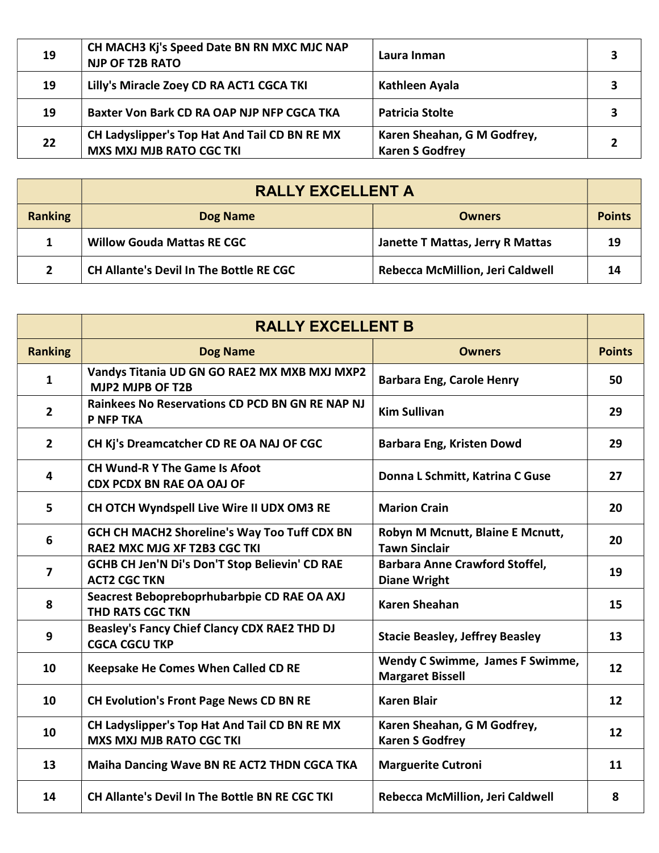| 19 | CH MACH3 Kj's Speed Date BN RN MXC MJC NAP<br><b>NJP OF T2B RATO</b>             | Laura Inman                                           |  |
|----|----------------------------------------------------------------------------------|-------------------------------------------------------|--|
| 19 | Lilly's Miracle Zoey CD RA ACT1 CGCA TKI                                         | Kathleen Ayala                                        |  |
| 19 | <b>Baxter Von Bark CD RA OAP NJP NFP CGCA TKA</b>                                | <b>Patricia Stolte</b>                                |  |
| 22 | CH Ladyslipper's Top Hat And Tail CD BN RE MX<br><b>MXS MXJ MJB RATO CGC TKI</b> | Karen Sheahan, G M Godfrey,<br><b>Karen S Godfrey</b> |  |

|                | <b>RALLY EXCELLENT A</b>                       |                                         |               |
|----------------|------------------------------------------------|-----------------------------------------|---------------|
| <b>Ranking</b> | <b>Dog Name</b>                                | <b>Owners</b>                           | <b>Points</b> |
|                | <b>Willow Gouda Mattas RE CGC</b>              | <b>Janette T Mattas, Jerry R Mattas</b> | 19            |
|                | <b>CH Allante's Devil In The Bottle RE CGC</b> | <b>Rebecca McMillion, Jeri Caldwell</b> | 14            |

|                | <b>RALLY EXCELLENT B</b>                                                            |                                                              |               |
|----------------|-------------------------------------------------------------------------------------|--------------------------------------------------------------|---------------|
| <b>Ranking</b> | <b>Dog Name</b>                                                                     | <b>Owners</b>                                                | <b>Points</b> |
| $\mathbf{1}$   | Vandys Titania UD GN GO RAE2 MX MXB MXJ MXP2<br>MJP2 MJPB OF T2B                    | <b>Barbara Eng, Carole Henry</b>                             | 50            |
| $\overline{2}$ | <b>Rainkees No Reservations CD PCD BN GN RE NAP NJ</b><br>P NFP TKA                 | <b>Kim Sullivan</b>                                          | 29            |
| $\overline{2}$ | CH Kj's Dreamcatcher CD RE OA NAJ OF CGC                                            | Barbara Eng, Kristen Dowd                                    | 29            |
| 4              | <b>CH Wund-R Y The Game Is Afoot</b><br><b>CDX PCDX BN RAE OA OAJ OF</b>            | Donna L Schmitt, Katrina C Guse                              | 27            |
| 5              | CH OTCH Wyndspell Live Wire II UDX OM3 RE                                           | <b>Marion Crain</b>                                          | 20            |
| 6              | <b>GCH CH MACH2 Shoreline's Way Too Tuff CDX BN</b><br>RAE2 MXC MJG XF T2B3 CGC TKI | Robyn M Mcnutt, Blaine E Mcnutt,<br><b>Tawn Sinclair</b>     | 20            |
| $\overline{7}$ | GCHB CH Jen'N Di's Don'T Stop Believin' CD RAE<br><b>ACT2 CGC TKN</b>               | <b>Barbara Anne Crawford Stoffel,</b><br><b>Diane Wright</b> | 19            |
| 8              | Seacrest Bebopreboprhubarbpie CD RAE OA AXJ<br><b>THD RATS CGC TKN</b>              | <b>Karen Sheahan</b>                                         | 15            |
| 9              | Beasley's Fancy Chief Clancy CDX RAE2 THD DJ<br><b>CGCA CGCU TKP</b>                | <b>Stacie Beasley, Jeffrey Beasley</b>                       | 13            |
| 10             | Keepsake He Comes When Called CD RE                                                 | Wendy C Swimme, James F Swimme,<br><b>Margaret Bissell</b>   | 12            |
| 10             | <b>CH Evolution's Front Page News CD BN RE</b>                                      | <b>Karen Blair</b>                                           | 12            |
| 10             | CH Ladyslipper's Top Hat And Tail CD BN RE MX<br><b>MXS MXJ MJB RATO CGC TKI</b>    | Karen Sheahan, G M Godfrey,<br><b>Karen S Godfrey</b>        | 12            |
| 13             | <b>Maiha Dancing Wave BN RE ACT2 THDN CGCA TKA</b>                                  | <b>Marguerite Cutroni</b>                                    | 11            |
| 14             | CH Allante's Devil In The Bottle BN RE CGC TKI                                      | Rebecca McMillion, Jeri Caldwell                             | 8             |